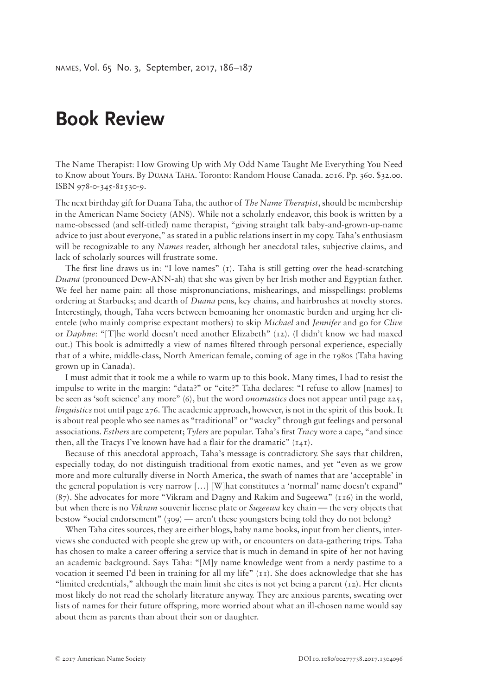## **Book Review**

The Name Therapist: How Growing Up with My Odd Name Taught Me Everything You Need to Know about Yours. By Duana Taha. Toronto: Random House Canada. 2016. Pp. 360. \$32.00. ISBN 978-0-345-81530-9.

The next birthday gift for Duana Taha, the author of *The Name Therapist*, should be membership in the American Name Society (ANS). While not a scholarly endeavor, this book is written by a name-obsessed (and self-titled) name therapist, "giving straight talk baby-and-grown-up-name advice to just about everyone," as stated in a public relations insert in my copy. Taha's enthusiasm will be recognizable to any *Names* reader, although her anecdotal tales, subjective claims, and lack of scholarly sources will frustrate some.

The first line draws us in: "I love names"  $(1)$ . Taha is still getting over the head-scratching *Duana* (pronounced Dew-ANN-ah) that she was given by her Irish mother and Egyptian father. We feel her name pain: all those mispronunciations, mishearings, and misspellings; problems ordering at Starbucks; and dearth of *Duana* pens, key chains, and hairbrushes at novelty stores. Interestingly, though, Taha veers between bemoaning her onomastic burden and urging her clientele (who mainly comprise expectant mothers) to skip *Michael* and *Jennifer* and go for *Clive* or *Daphne*: "[T]he world doesn't need another Elizabeth" (12). (I didn't know we had maxed out.) This book is admittedly a view of names filtered through personal experience, especially that of a white, middle-class, North American female, coming of age in the 1980s (Taha having grown up in Canada).

I must admit that it took me a while to warm up to this book. Many times, I had to resist the impulse to write in the margin: "data?" or "cite?" Taha declares: "I refuse to allow [names] to be seen as 'soft science' any more" (6), but the word *onomastics* does not appear until page 225, *linguistics* not until page 276. The academic approach, however, is not in the spirit of this book. It is about real people who see names as "traditional" or "wacky" through gut feelings and personal associations. *Esthers* are competent; *Tylers* are popular. Taha's first *Tracy* wore a cape, "and since then, all the Tracys I've known have had a flair for the dramatic" (141).

Because of this anecdotal approach, Taha's message is contradictory. She says that children, especially today, do not distinguish traditional from exotic names, and yet "even as we grow more and more culturally diverse in North America, the swath of names that are 'acceptable' in the general population is very narrow […] [W]hat constitutes a 'normal' name doesn't expand" (87). She advocates for more "Vikram and Dagny and Rakim and Sugeewa" (116) in the world, but when there is no *Vikram* souvenir license plate or *Sugeewa* key chain — the very objects that bestow "social endorsement" (309) — aren't these youngsters being told they do not belong?

When Taha cites sources, they are either blogs, baby name books, input from her clients, interviews she conducted with people she grew up with, or encounters on data-gathering trips. Taha has chosen to make a career offering a service that is much in demand in spite of her not having an academic background. Says Taha: "[M]y name knowledge went from a nerdy pastime to a vocation it seemed I'd been in training for all my life" (11). She does acknowledge that she has "limited credentials," although the main limit she cites is not yet being a parent (12). Her clients most likely do not read the scholarly literature anyway. They are anxious parents, sweating over lists of names for their future offspring, more worried about what an ill-chosen name would say about them as parents than about their son or daughter.